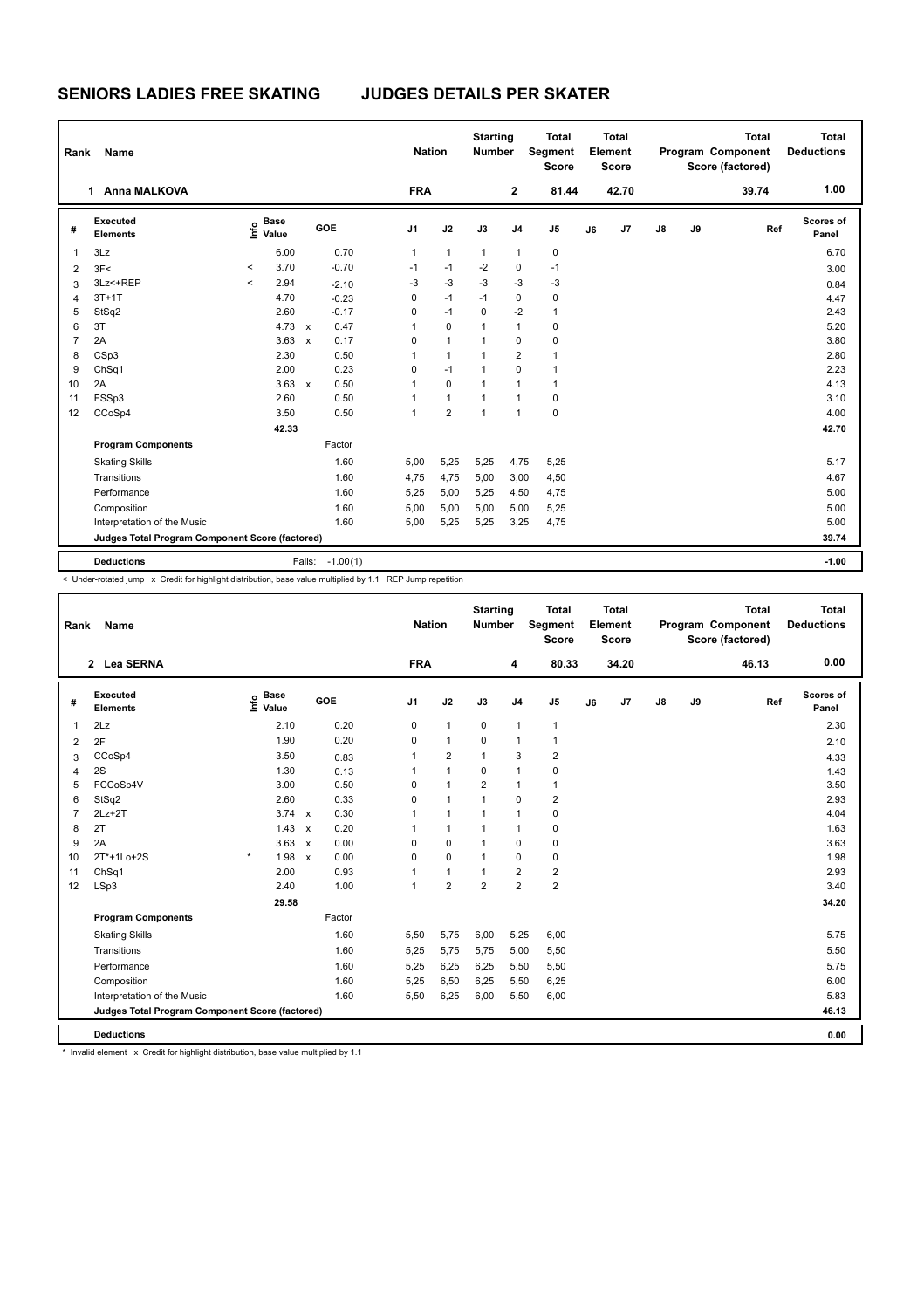**SENIORS LADIES FREE SKATING JUDGES DETAILS PER SKATER**

| Rank           | Name                                            |                          |                                  |        |            | <b>Nation</b>  |                | <b>Starting</b><br><b>Number</b> |                | <b>Total</b><br>Segment<br><b>Score</b> |    | <b>Total</b><br>Element<br><b>Score</b> |    |    | <b>Total</b><br>Program Component<br>Score (factored) |     | <b>Total</b><br><b>Deductions</b> |
|----------------|-------------------------------------------------|--------------------------|----------------------------------|--------|------------|----------------|----------------|----------------------------------|----------------|-----------------------------------------|----|-----------------------------------------|----|----|-------------------------------------------------------|-----|-----------------------------------|
|                | 1 Anna MALKOVA                                  |                          |                                  |        |            | <b>FRA</b>     |                |                                  | 2              | 81.44                                   |    | 42.70                                   |    |    | 39.74                                                 |     | 1.00                              |
| #              | Executed<br><b>Elements</b>                     |                          | <b>Base</b><br>e Base<br>⊆ Value |        | GOE        | J <sub>1</sub> | J2             | J3                               | J <sub>4</sub> | J <sub>5</sub>                          | J6 | J7                                      | J8 | J9 |                                                       | Ref | Scores of<br>Panel                |
| 1              | 3Lz                                             |                          | 6.00                             |        | 0.70       | 1              | $\mathbf{1}$   | $\mathbf{1}$                     | $\mathbf{1}$   | $\pmb{0}$                               |    |                                         |    |    |                                                       |     | 6.70                              |
| $\overline{2}$ | 3F<                                             | $\overline{\phantom{a}}$ | 3.70                             |        | $-0.70$    | $-1$           | $-1$           | $-2$                             | 0              | $-1$                                    |    |                                         |    |    |                                                       |     | 3.00                              |
| 3              | 3Lz <+REP                                       | $\overline{\phantom{a}}$ | 2.94                             |        | $-2.10$    | $-3$           | $-3$           | $-3$                             | $-3$           | $-3$                                    |    |                                         |    |    |                                                       |     | 0.84                              |
| 4              | $3T+1T$                                         |                          | 4.70                             |        | $-0.23$    | 0              | $-1$           | $-1$                             | 0              | $\mathbf 0$                             |    |                                         |    |    |                                                       |     | 4.47                              |
| 5              | StSq2                                           |                          | 2.60                             |        | $-0.17$    | 0              | $-1$           | 0                                | $-2$           | 1                                       |    |                                         |    |    |                                                       |     | 2.43                              |
| 6              | 3T                                              |                          | 4.73 x                           |        | 0.47       | 1              | 0              | 1                                | 1              | 0                                       |    |                                         |    |    |                                                       |     | 5.20                              |
| $\overline{7}$ | 2A                                              |                          | $3.63 \times$                    |        | 0.17       | 0              | $\mathbf{1}$   | $\mathbf{1}$                     | $\mathbf 0$    | 0                                       |    |                                         |    |    |                                                       |     | 3.80                              |
| 8              | CSp3                                            |                          | 2.30                             |        | 0.50       | 1              | $\mathbf{1}$   | $\mathbf{1}$                     | $\overline{2}$ | 1                                       |    |                                         |    |    |                                                       |     | 2.80                              |
| 9              | ChSq1                                           |                          | 2.00                             |        | 0.23       | 0              | $-1$           | $\mathbf 1$                      | 0              | 1                                       |    |                                         |    |    |                                                       |     | 2.23                              |
| 10             | 2A                                              |                          | $3.63 \times$                    |        | 0.50       | 1              | 0              | $\mathbf{1}$                     | 1              | $\mathbf{1}$                            |    |                                         |    |    |                                                       |     | 4.13                              |
| 11             | FSSp3                                           |                          | 2.60                             |        | 0.50       |                | 1              | 1                                | 1              | 0                                       |    |                                         |    |    |                                                       |     | 3.10                              |
| 12             | CCoSp4                                          |                          | 3.50                             |        | 0.50       | 1              | $\overline{2}$ | 1                                | $\mathbf{1}$   | $\mathbf 0$                             |    |                                         |    |    |                                                       |     | 4.00                              |
|                |                                                 | 42.33                    |                                  |        |            |                |                |                                  |                |                                         |    |                                         |    |    |                                                       |     | 42.70                             |
|                | <b>Program Components</b>                       |                          |                                  |        | Factor     |                |                |                                  |                |                                         |    |                                         |    |    |                                                       |     |                                   |
|                | <b>Skating Skills</b>                           |                          |                                  |        | 1.60       | 5,00           | 5,25           | 5,25                             | 4,75           | 5,25                                    |    |                                         |    |    |                                                       |     | 5.17                              |
|                | Transitions                                     |                          |                                  |        | 1.60       | 4,75           | 4,75           | 5,00                             | 3,00           | 4,50                                    |    |                                         |    |    |                                                       |     | 4.67                              |
|                | Performance                                     |                          |                                  |        | 1.60       | 5,25           | 5,00           | 5,25                             | 4,50           | 4,75                                    |    |                                         |    |    |                                                       |     | 5.00                              |
|                | Composition                                     |                          |                                  |        | 1.60       | 5,00           | 5,00           | 5,00                             | 5,00           | 5,25                                    |    |                                         |    |    |                                                       |     | 5.00                              |
|                | Interpretation of the Music                     |                          |                                  |        | 1.60       | 5,00           | 5,25           | 5,25                             | 3,25           | 4,75                                    |    |                                         |    |    |                                                       |     | 5.00                              |
|                | Judges Total Program Component Score (factored) |                          |                                  |        |            |                |                |                                  |                | 39.74                                   |    |                                         |    |    |                                                       |     |                                   |
|                | <b>Deductions</b>                               |                          |                                  | Falls: | $-1.00(1)$ |                |                |                                  |                |                                         |    |                                         |    |    |                                                       |     | $-1.00$                           |

< Under-rotated jump x Credit for highlight distribution, base value multiplied by 1.1 REP Jump repetition

| Rank           | Name                                            |                              | <b>Nation</b>        |                | <b>Starting</b><br><b>Number</b> | <b>Total</b><br>Segment<br><b>Score</b> |                         | Total<br>Element<br><b>Score</b> |    |                | <b>Total</b><br>Program Component<br>Score (factored) | Total<br><b>Deductions</b> |       |                           |
|----------------|-------------------------------------------------|------------------------------|----------------------|----------------|----------------------------------|-----------------------------------------|-------------------------|----------------------------------|----|----------------|-------------------------------------------------------|----------------------------|-------|---------------------------|
|                | 2 Lea SERNA                                     |                              |                      | <b>FRA</b>     |                                  |                                         | 4                       | 80.33                            |    | 34.20          |                                                       |                            | 46.13 | 0.00                      |
| #              | Executed<br><b>Elements</b>                     | <b>Base</b><br>Info<br>Value | GOE                  | J <sub>1</sub> | J2                               | J3                                      | J <sub>4</sub>          | J <sub>5</sub>                   | J6 | J <sub>7</sub> | $\mathsf{J}8$                                         | J9                         | Ref   | <b>Scores of</b><br>Panel |
| 1              | 2Lz                                             | 2.10                         | 0.20                 | 0              | $\mathbf{1}$                     | 0                                       | $\mathbf{1}$            | $\mathbf{1}$                     |    |                |                                                       |                            |       | 2.30                      |
| $\overline{2}$ | 2F                                              | 1.90                         | 0.20                 | 0              | $\mathbf{1}$                     | $\mathbf 0$                             | $\mathbf{1}$            | 1                                |    |                |                                                       |                            |       | 2.10                      |
| 3              | CCoSp4                                          | 3.50                         | 0.83                 | 1              | $\overline{2}$                   | $\mathbf{1}$                            | 3                       | $\overline{2}$                   |    |                |                                                       |                            |       | 4.33                      |
| 4              | 2S                                              | 1.30                         | 0.13                 | 1              | $\mathbf{1}$                     | 0                                       | $\mathbf{1}$            | 0                                |    |                |                                                       |                            |       | 1.43                      |
| 5              | FCCoSp4V                                        | 3.00                         | 0.50                 | 0              | $\mathbf{1}$                     | $\overline{2}$                          | $\mathbf{1}$            | 1                                |    |                |                                                       |                            |       | 3.50                      |
| 6              | StSq2                                           | 2.60                         | 0.33                 | 0              | $\mathbf{1}$                     | 1                                       | $\mathbf 0$             | $\overline{2}$                   |    |                |                                                       |                            |       | 2.93                      |
| $\overline{7}$ | $2Lz+2T$                                        | 3.74                         | 0.30<br>$\mathsf{x}$ | 1              | $\mathbf{1}$                     | $\mathbf{1}$                            | $\mathbf{1}$            | $\mathbf 0$                      |    |                |                                                       |                            |       | 4.04                      |
| 8              | 2T                                              | 1.43                         | 0.20<br>$\mathsf{x}$ | 1              | $\mathbf{1}$                     | 1                                       | $\mathbf{1}$            | 0                                |    |                |                                                       |                            |       | 1.63                      |
| 9              | 2A                                              | 3.63                         | 0.00<br>$\mathsf{x}$ | 0              | $\mathbf 0$                      | 1                                       | $\mathbf 0$             | $\mathbf 0$                      |    |                |                                                       |                            |       | 3.63                      |
| 10             | 2T*+1Lo+2S                                      | $\star$<br>1.98              | 0.00<br>$\mathsf{x}$ | 0              | $\mathbf 0$                      | 1                                       | $\mathbf 0$             | 0                                |    |                |                                                       |                            |       | 1.98                      |
| 11             | ChSq1                                           | 2.00                         | 0.93                 |                | $\mathbf{1}$                     |                                         | $\overline{\mathbf{c}}$ | $\overline{\mathbf{c}}$          |    |                |                                                       |                            |       | 2.93                      |
| 12             | LSp3                                            | 2.40                         | 1.00                 | $\mathbf{1}$   | $\overline{2}$                   | $\overline{2}$                          | $\overline{2}$          | $\overline{2}$                   |    |                |                                                       |                            |       | 3.40                      |
|                |                                                 | 29.58                        |                      |                |                                  |                                         |                         |                                  |    |                |                                                       |                            |       | 34.20                     |
|                | <b>Program Components</b>                       |                              | Factor               |                |                                  |                                         |                         |                                  |    |                |                                                       |                            |       |                           |
|                | <b>Skating Skills</b>                           |                              | 1.60                 | 5,50           | 5,75                             | 6,00                                    | 5,25                    | 6,00                             |    |                |                                                       |                            |       | 5.75                      |
|                | Transitions                                     |                              | 1.60                 | 5,25           | 5,75                             | 5,75                                    | 5,00                    | 5,50                             |    |                |                                                       |                            |       | 5.50                      |
|                | Performance                                     |                              | 1.60                 | 5,25           | 6,25                             | 6,25                                    | 5,50                    | 5,50                             |    |                |                                                       |                            |       | 5.75                      |
|                | Composition                                     |                              | 1.60                 | 5,25           | 6,50                             | 6,25                                    | 5,50                    | 6,25                             |    |                |                                                       |                            |       | 6.00                      |
|                | Interpretation of the Music                     |                              | 1.60                 | 5,50           | 6,25                             | 6,00                                    | 5,50                    | 6,00                             |    |                |                                                       |                            |       | 5.83                      |
|                | Judges Total Program Component Score (factored) |                              |                      |                |                                  |                                         |                         |                                  |    |                |                                                       |                            |       | 46.13                     |
|                | <b>Deductions</b>                               |                              |                      |                |                                  |                                         |                         |                                  |    |                |                                                       |                            |       | 0.00                      |

\* Invalid element x Credit for highlight distribution, base value multiplied by 1.1